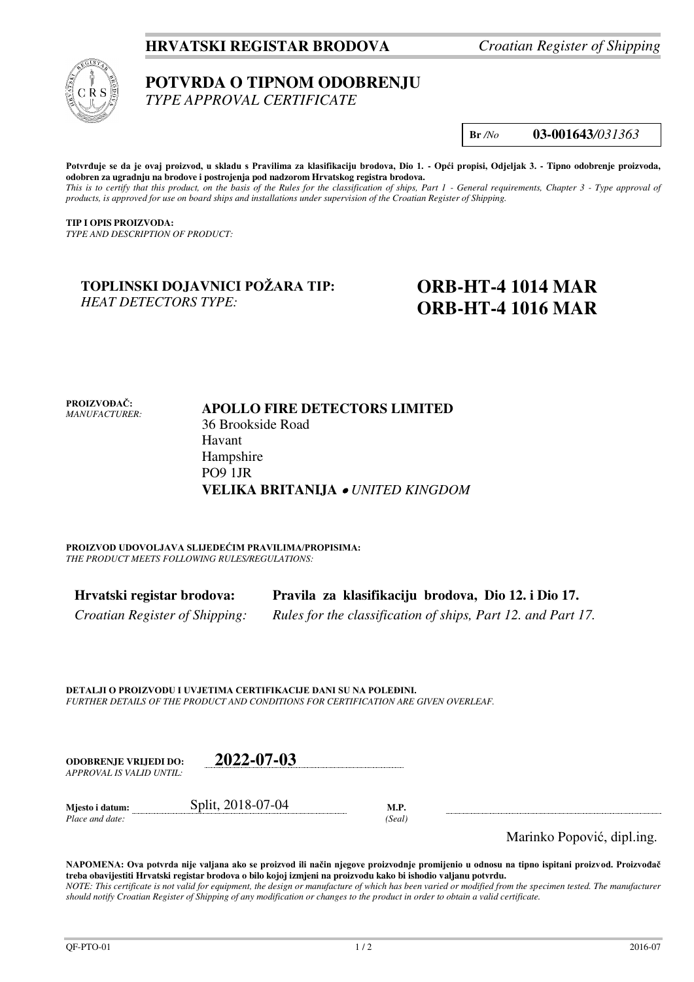## **HRVATSKI REGISTAR BRODOVA** *Croatian Register of Shipping*



# **POTVRDA O TIPNOM ODOBRENJU**

*TYPE APPROVAL CERTIFICATE* 

**Br** */No* **03-001643***/031363*

**Potvrđuje se da je ovaj proizvod, u skladu s Pravilima za klasifikaciju brodova, Dio 1. - Opći propisi, Odjeljak 3. - Tipno odobrenje proizvoda, odobren za ugradnju na brodove i postrojenja pod nadzorom Hrvatskog registra brodova.**  *This is to certify that this product, on the basis of the Rules for the classification of ships, Part 1 - General requirements, Chapter 3 - Type approval of products, is approved for use on board ships and installations under supervision of the Croatian Register of Shipping.* 

**TIP I OPIS PROIZVODA:** *TYPE AND DESCRIPTION OF PRODUCT:* 

#### **TOPLINSKI DOJAVNICI POŽARA TIP:**  *HEAT DETECTORS TYPE:*

## **ORB-HT-4 1014 MAR ORB-HT-4 1016 MAR**

**PROIZVOĐAČ:** *MANUFACTURER:*

#### **APOLLO FIRE DETECTORS LIMITED**  36 Brookside Road Havant Hampshire PO9 1JR **VELIKA BRITANIJA**  *UNITED KINGDOM*

**PROIZVOD UDOVOLJAVA SLIJEDEĆIM PRAVILIMA/PROPISIMA:** *THE PRODUCT MEETS FOLLOWING RULES/REGULATIONS:* 

| Hrvatski registar brodova:     | Pravila za klasifikaciju brodova, Dio 12. i Dio 17.          |
|--------------------------------|--------------------------------------------------------------|
| Croatian Register of Shipping: | Rules for the classification of ships, Part 12. and Part 17. |

**DETALJI O PROIZVODU I UVJETIMA CERTIFIKACIJE DANI SU NA POLEĐINI.** *FURTHER DETAILS OF THE PRODUCT AND CONDITIONS FOR CERTIFICATION ARE GIVEN OVERLEAF.* 

| <b>ODOBRENJE VRLJEDI DO:</b><br>APPROVAL IS VALID UNTIL: | 2022-07-03        |                |   |
|----------------------------------------------------------|-------------------|----------------|---|
| Mjesto i datum:<br>Place and date:                       | Split, 2018-07-04 | M.P.<br>(Seal) | . |

Marinko Popović, dipl.ing.

**NAPOMENA: Ova potvrda nije valjana ako se proizvod ili način njegove proizvodnje promijenio u odnosu na tipno ispitani proizvod. Proizvođač treba obavijestiti Hrvatski registar brodova o bilo kojoj izmjeni na proizvodu kako bi ishodio valjanu potvrdu.**  *NOTE: This certificate is not valid for equipment, the design or manufacture of which has been varied or modified from the specimen tested. The manufacturer should notify Croatian Register of Shipping of any modification or changes to the product in order to obtain a valid certificate.*